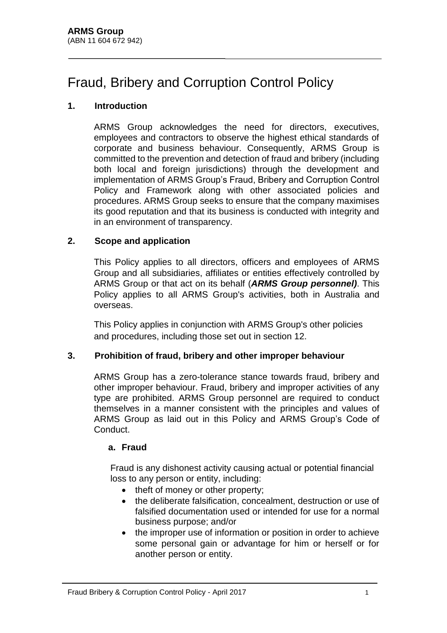# Fraud, Bribery and Corruption Control Policy

## **1. Introduction**

ARMS Group acknowledges the need for directors, executives, employees and contractors to observe the highest ethical standards of corporate and business behaviour. Consequently, ARMS Group is committed to the prevention and detection of fraud and bribery (including both local and foreign jurisdictions) through the development and implementation of ARMS Group's Fraud, Bribery and Corruption Control Policy and Framework along with other associated policies and procedures. ARMS Group seeks to ensure that the company maximises its good reputation and that its business is conducted with integrity and in an environment of transparency.

#### **2. Scope and application**

This Policy applies to all directors, officers and employees of ARMS Group and all subsidiaries, affiliates or entities effectively controlled by ARMS Group or that act on its behalf (*ARMS Group personnel)*. This Policy applies to all ARMS Group's activities, both in Australia and overseas.

This Policy applies in conjunction with ARMS Group's other policies and procedures, including those set out in section 12.

# **3. Prohibition of fraud, bribery and other improper behaviour**

ARMS Group has a zero-tolerance stance towards fraud, bribery and other improper behaviour. Fraud, bribery and improper activities of any type are prohibited. ARMS Group personnel are required to conduct themselves in a manner consistent with the principles and values of ARMS Group as laid out in this Policy and ARMS Group's Code of Conduct.

#### **a. Fraud**

Fraud is any dishonest activity causing actual or potential financial loss to any person or entity, including:

- theft of money or other property;
- the deliberate falsification, concealment, destruction or use of falsified documentation used or intended for use for a normal business purpose; and/or
- the improper use of information or position in order to achieve some personal gain or advantage for him or herself or for another person or entity.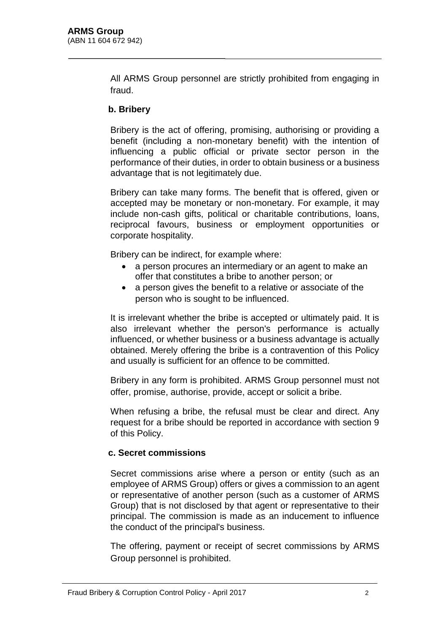All ARMS Group personnel are strictly prohibited from engaging in fraud.

#### **b. Bribery**

Bribery is the act of offering, promising, authorising or providing a benefit (including a non-monetary benefit) with the intention of influencing a public official or private sector person in the performance of their duties, in order to obtain business or a business advantage that is not legitimately due.

Bribery can take many forms. The benefit that is offered, given or accepted may be monetary or non-monetary. For example, it may include non-cash gifts, political or charitable contributions, loans, reciprocal favours, business or employment opportunities or corporate hospitality.

Bribery can be indirect, for example where:

- a person procures an intermediary or an agent to make an offer that constitutes a bribe to another person; or
- a person gives the benefit to a relative or associate of the person who is sought to be influenced.

It is irrelevant whether the bribe is accepted or ultimately paid. It is also irrelevant whether the person's performance is actually influenced, or whether business or a business advantage is actually obtained. Merely offering the bribe is a contravention of this Policy and usually is sufficient for an offence to be committed.

Bribery in any form is prohibited. ARMS Group personnel must not offer, promise, authorise, provide, accept or solicit a bribe.

When refusing a bribe, the refusal must be clear and direct. Any request for a bribe should be reported in accordance with section 9 of this Policy.

#### **c. Secret commissions**

Secret commissions arise where a person or entity (such as an employee of ARMS Group) offers or gives a commission to an agent or representative of another person (such as a customer of ARMS Group) that is not disclosed by that agent or representative to their principal. The commission is made as an inducement to influence the conduct of the principal's business.

The offering, payment or receipt of secret commissions by ARMS Group personnel is prohibited.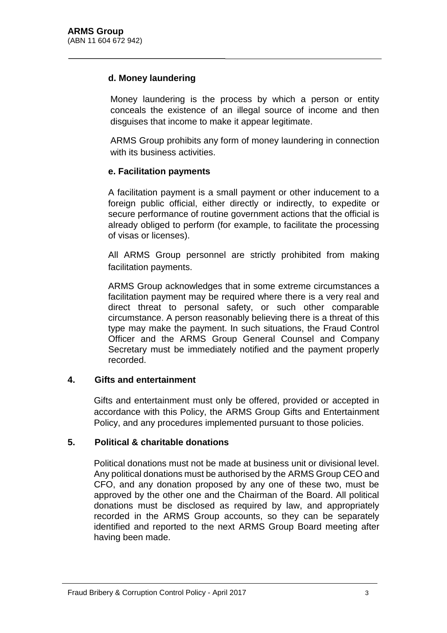## **d. Money laundering**

Money laundering is the process by which a person or entity conceals the existence of an illegal source of income and then disguises that income to make it appear legitimate.

ARMS Group prohibits any form of money laundering in connection with its business activities.

#### **e. Facilitation payments**

A facilitation payment is a small payment or other inducement to a foreign public official, either directly or indirectly, to expedite or secure performance of routine government actions that the official is already obliged to perform (for example, to facilitate the processing of visas or licenses).

All ARMS Group personnel are strictly prohibited from making facilitation payments.

ARMS Group acknowledges that in some extreme circumstances a facilitation payment may be required where there is a very real and direct threat to personal safety, or such other comparable circumstance. A person reasonably believing there is a threat of this type may make the payment. In such situations, the Fraud Control Officer and the ARMS Group General Counsel and Company Secretary must be immediately notified and the payment properly recorded.

# **4. Gifts and entertainment**

Gifts and entertainment must only be offered, provided or accepted in accordance with this Policy, the ARMS Group Gifts and Entertainment Policy, and any procedures implemented pursuant to those policies.

#### **5. Political & charitable donations**

Political donations must not be made at business unit or divisional level. Any political donations must be authorised by the ARMS Group CEO and CFO, and any donation proposed by any one of these two, must be approved by the other one and the Chairman of the Board. All political donations must be disclosed as required by law, and appropriately recorded in the ARMS Group accounts, so they can be separately identified and reported to the next ARMS Group Board meeting after having been made.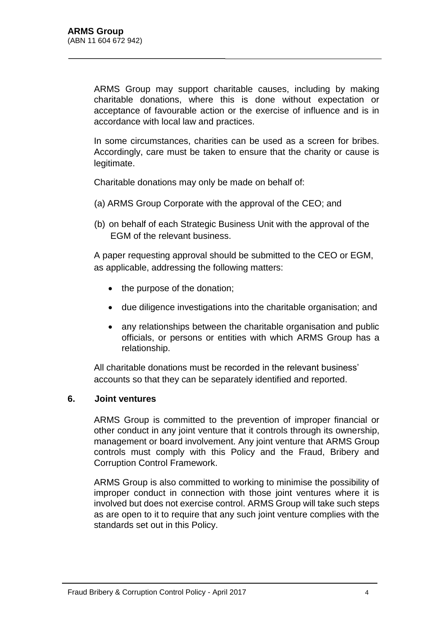ARMS Group may support charitable causes, including by making charitable donations, where this is done without expectation or acceptance of favourable action or the exercise of influence and is in accordance with local law and practices.

In some circumstances, charities can be used as a screen for bribes. Accordingly, care must be taken to ensure that the charity or cause is legitimate.

Charitable donations may only be made on behalf of:

- (a) ARMS Group Corporate with the approval of the CEO; and
- (b) on behalf of each Strategic Business Unit with the approval of the EGM of the relevant business.

A paper requesting approval should be submitted to the CEO or EGM, as applicable, addressing the following matters:

- the purpose of the donation;
- due diligence investigations into the charitable organisation; and
- any relationships between the charitable organisation and public officials, or persons or entities with which ARMS Group has a relationship.

All charitable donations must be recorded in the relevant business' accounts so that they can be separately identified and reported.

#### **6. Joint ventures**

ARMS Group is committed to the prevention of improper financial or other conduct in any joint venture that it controls through its ownership, management or board involvement. Any joint venture that ARMS Group controls must comply with this Policy and the Fraud, Bribery and Corruption Control Framework.

ARMS Group is also committed to working to minimise the possibility of improper conduct in connection with those joint ventures where it is involved but does not exercise control. ARMS Group will take such steps as are open to it to require that any such joint venture complies with the standards set out in this Policy.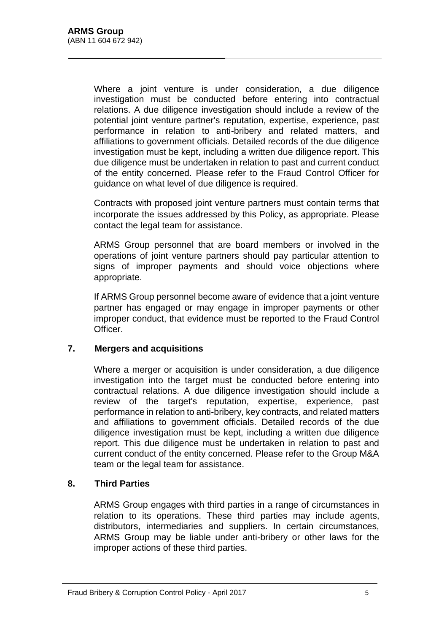Where a joint venture is under consideration, a due diligence investigation must be conducted before entering into contractual relations. A due diligence investigation should include a review of the potential joint venture partner's reputation, expertise, experience, past performance in relation to anti-bribery and related matters, and affiliations to government officials. Detailed records of the due diligence investigation must be kept, including a written due diligence report. This due diligence must be undertaken in relation to past and current conduct of the entity concerned. Please refer to the Fraud Control Officer for guidance on what level of due diligence is required.

Contracts with proposed joint venture partners must contain terms that incorporate the issues addressed by this Policy, as appropriate. Please contact the legal team for assistance.

ARMS Group personnel that are board members or involved in the operations of joint venture partners should pay particular attention to signs of improper payments and should voice objections where appropriate.

If ARMS Group personnel become aware of evidence that a joint venture partner has engaged or may engage in improper payments or other improper conduct, that evidence must be reported to the Fraud Control Officer.

#### **7. Mergers and acquisitions**

Where a merger or acquisition is under consideration, a due diligence investigation into the target must be conducted before entering into contractual relations. A due diligence investigation should include a review of the target's reputation, expertise, experience, past performance in relation to anti-bribery, key contracts, and related matters and affiliations to government officials. Detailed records of the due diligence investigation must be kept, including a written due diligence report. This due diligence must be undertaken in relation to past and current conduct of the entity concerned. Please refer to the Group M&A team or the legal team for assistance.

# **8. Third Parties**

ARMS Group engages with third parties in a range of circumstances in relation to its operations. These third parties may include agents, distributors, intermediaries and suppliers. In certain circumstances, ARMS Group may be liable under anti-bribery or other laws for the improper actions of these third parties.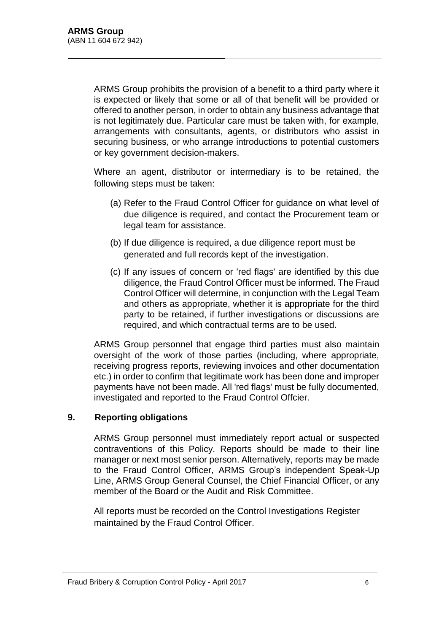ARMS Group prohibits the provision of a benefit to a third party where it is expected or likely that some or all of that benefit will be provided or offered to another person, in order to obtain any business advantage that is not legitimately due. Particular care must be taken with, for example, arrangements with consultants, agents, or distributors who assist in securing business, or who arrange introductions to potential customers or key government decision-makers.

Where an agent, distributor or intermediary is to be retained, the following steps must be taken:

- (a) Refer to the Fraud Control Officer for guidance on what level of due diligence is required, and contact the Procurement team or legal team for assistance.
- (b) If due diligence is required, a due diligence report must be generated and full records kept of the investigation.
- (c) If any issues of concern or 'red flags' are identified by this due diligence, the Fraud Control Officer must be informed. The Fraud Control Officer will determine, in conjunction with the Legal Team and others as appropriate, whether it is appropriate for the third party to be retained, if further investigations or discussions are required, and which contractual terms are to be used.

ARMS Group personnel that engage third parties must also maintain oversight of the work of those parties (including, where appropriate, receiving progress reports, reviewing invoices and other documentation etc.) in order to confirm that legitimate work has been done and improper payments have not been made. All 'red flags' must be fully documented, investigated and reported to the Fraud Control Offcier.

#### **9. Reporting obligations**

ARMS Group personnel must immediately report actual or suspected contraventions of this Policy. Reports should be made to their line manager or next most senior person. Alternatively, reports may be made to the Fraud Control Officer, ARMS Group's independent Speak-Up Line, ARMS Group General Counsel, the Chief Financial Officer, or any member of the Board or the Audit and Risk Committee.

All reports must be recorded on the Control Investigations Register maintained by the Fraud Control Officer.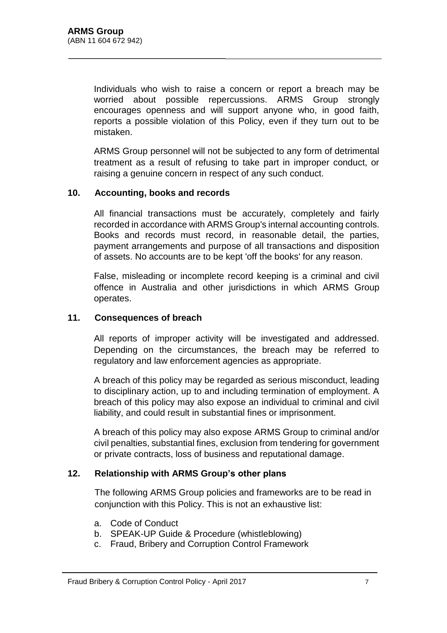Individuals who wish to raise a concern or report a breach may be worried about possible repercussions. ARMS Group strongly encourages openness and will support anyone who, in good faith, reports a possible violation of this Policy, even if they turn out to be mistaken.

ARMS Group personnel will not be subjected to any form of detrimental treatment as a result of refusing to take part in improper conduct, or raising a genuine concern in respect of any such conduct.

#### **10. Accounting, books and records**

All financial transactions must be accurately, completely and fairly recorded in accordance with ARMS Group's internal accounting controls. Books and records must record, in reasonable detail, the parties, payment arrangements and purpose of all transactions and disposition of assets. No accounts are to be kept 'off the books' for any reason.

False, misleading or incomplete record keeping is a criminal and civil offence in Australia and other jurisdictions in which ARMS Group operates.

#### **11. Consequences of breach**

All reports of improper activity will be investigated and addressed. Depending on the circumstances, the breach may be referred to regulatory and law enforcement agencies as appropriate.

A breach of this policy may be regarded as serious misconduct, leading to disciplinary action, up to and including termination of employment. A breach of this policy may also expose an individual to criminal and civil liability, and could result in substantial fines or imprisonment.

A breach of this policy may also expose ARMS Group to criminal and/or civil penalties, substantial fines, exclusion from tendering for government or private contracts, loss of business and reputational damage.

#### **12. Relationship with ARMS Group's other plans**

The following ARMS Group policies and frameworks are to be read in conjunction with this Policy. This is not an exhaustive list:

- a. Code of Conduct
- b. SPEAK-UP Guide & Procedure (whistleblowing)
- c. Fraud, Bribery and Corruption Control Framework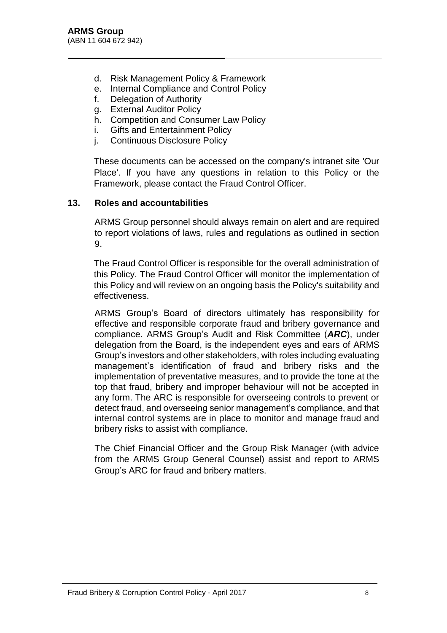- d. Risk Management Policy & Framework
- e. Internal Compliance and Control Policy
- f. Delegation of Authority
- g. External Auditor Policy
- h. Competition and Consumer Law Policy
- i. Gifts and Entertainment Policy
- j. Continuous Disclosure Policy

These documents can be accessed on the company's intranet site 'Our Place'. If you have any questions in relation to this Policy or the Framework, please contact the Fraud Control Officer.

## **13. Roles and accountabilities**

ARMS Group personnel should always remain on alert and are required to report violations of laws, rules and regulations as outlined in section 9.

The Fraud Control Officer is responsible for the overall administration of this Policy. The Fraud Control Officer will monitor the implementation of this Policy and will review on an ongoing basis the Policy's suitability and effectiveness.

ARMS Group's Board of directors ultimately has responsibility for effective and responsible corporate fraud and bribery governance and compliance. ARMS Group's Audit and Risk Committee (*ARC*), under delegation from the Board, is the independent eyes and ears of ARMS Group's investors and other stakeholders, with roles including evaluating management's identification of fraud and bribery risks and the implementation of preventative measures, and to provide the tone at the top that fraud, bribery and improper behaviour will not be accepted in any form. The ARC is responsible for overseeing controls to prevent or detect fraud, and overseeing senior management's compliance, and that internal control systems are in place to monitor and manage fraud and bribery risks to assist with compliance.

The Chief Financial Officer and the Group Risk Manager (with advice from the ARMS Group General Counsel) assist and report to ARMS Group's ARC for fraud and bribery matters.